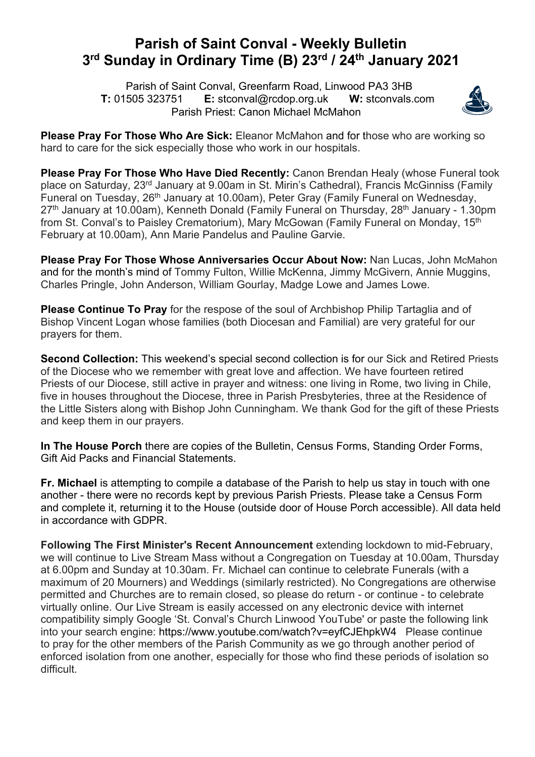## **Parish of Saint Conval - Weekly Bulletin 3rd Sunday in Ordinary Time (B) 23rd / 24th January 2021**

 Parish of Saint Conval, Greenfarm Road, Linwood PA3 3HB **T:** 01505 323751 **E:** stconval@rcdop.org.uk **W:** stconvals.com Parish Priest: Canon Michael McMahon



**Please Pray For Those Who Are Sick:** Eleanor McMahon and for those who are working so hard to care for the sick especially those who work in our hospitals.

**Please Pray For Those Who Have Died Recently:** Canon Brendan Healy (whose Funeral took place on Saturday, 23rd January at 9.00am in St. Mirin's Cathedral), Francis McGinniss (Family Funeral on Tuesday, 26<sup>th</sup> January at 10.00am), Peter Gray (Family Funeral on Wednesday, 27<sup>th</sup> January at 10.00am), Kenneth Donald (Family Funeral on Thursday, 28<sup>th</sup> January - 1.30pm from St. Conval's to Paisley Crematorium), Mary McGowan (Family Funeral on Monday, 15<sup>th</sup> February at 10.00am), Ann Marie Pandelus and Pauline Garvie.

**Please Pray For Those Whose Anniversaries Occur About Now:** Nan Lucas, John McMahon and for the month's mind of Tommy Fulton, Willie McKenna, Jimmy McGivern, Annie Muggins, Charles Pringle, John Anderson, William Gourlay, Madge Lowe and James Lowe.

**Please Continue To Pray** for the respose of the soul of Archbishop Philip Tartaglia and of Bishop Vincent Logan whose families (both Diocesan and Familial) are very grateful for our prayers for them.

**Second Collection:** This weekend's special second collection is for our Sick and Retired Priests of the Diocese who we remember with great love and affection. We have fourteen retired Priests of our Diocese, still active in prayer and witness: one living in Rome, two living in Chile, five in houses throughout the Diocese, three in Parish Presbyteries, three at the Residence of the Little Sisters along with Bishop John Cunningham. We thank God for the gift of these Priests and keep them in our prayers.

**In The House Porch** there are copies of the Bulletin, Census Forms, Standing Order Forms, Gift Aid Packs and Financial Statements.

**Fr. Michael** is attempting to compile a database of the Parish to help us stay in touch with one another - there were no records kept by previous Parish Priests. Please take a Census Form and complete it, returning it to the House (outside door of House Porch accessible). All data held in accordance with GDPR.

**Following The First Minister's Recent Announcement** extending lockdown to mid-February, we will continue to Live Stream Mass without a Congregation on Tuesday at 10.00am, Thursday at 6.00pm and Sunday at 10.30am. Fr. Michael can continue to celebrate Funerals (with a maximum of 20 Mourners) and Weddings (similarly restricted). No Congregations are otherwise permitted and Churches are to remain closed, so please do return - or continue - to celebrate virtually online. Our Live Stream is easily accessed on any electronic device with internet compatibility simply Google 'St. Conval's Church Linwood YouTube' or paste the following link into your search engine: https://www.youtube.com/watch?v=eyfCJEhpkW4 Please continue to pray for the other members of the Parish Community as we go through another period of enforced isolation from one another, especially for those who find these periods of isolation so difficult.